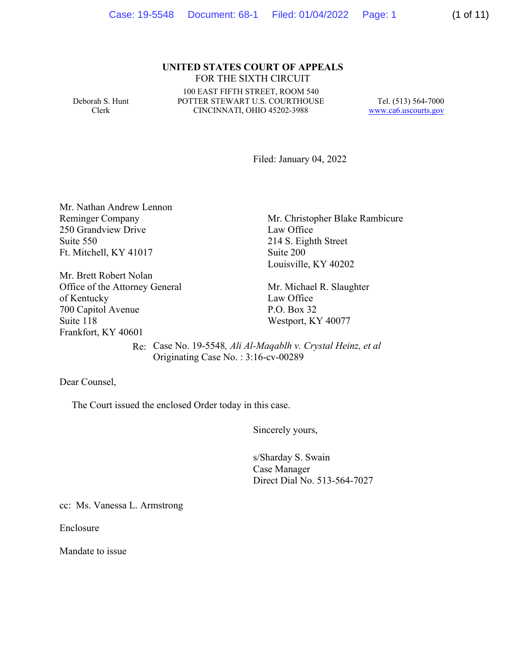# **UNITED STATES COURT OF APPEALS** FOR THE SIXTH CIRCUIT

Deborah S. Hunt Clerk

100 EAST FIFTH STREET, ROOM 540 POTTER STEWART U.S. COURTHOUSE CINCINNATI, OHIO 45202-3988

Tel. (513) 564-7000 www.ca6.uscourts.gov

Filed: January 04, 2022

Mr. Nathan Andrew Lennon Reminger Company 250 Grandview Drive Suite 550 Ft. Mitchell, KY 41017

Mr. Brett Robert Nolan Office of the Attorney General of Kentucky 700 Capitol Avenue Suite 118 Frankfort, KY 40601

Mr. Christopher Blake Rambicure Law Office 214 S. Eighth Street Suite 200 Louisville, KY 40202

Mr. Michael R. Slaughter Law Office P.O. Box 32 Westport, KY 40077

 Re: Case No. 19-5548*, Ali Al-Maqablh v. Crystal Heinz, et al* Originating Case No. : 3:16-cv-00289

Dear Counsel,

The Court issued the enclosed Order today in this case.

Sincerely yours,

s/Sharday S. Swain Case Manager Direct Dial No. 513-564-7027

cc: Ms. Vanessa L. Armstrong

Enclosure

Mandate to issue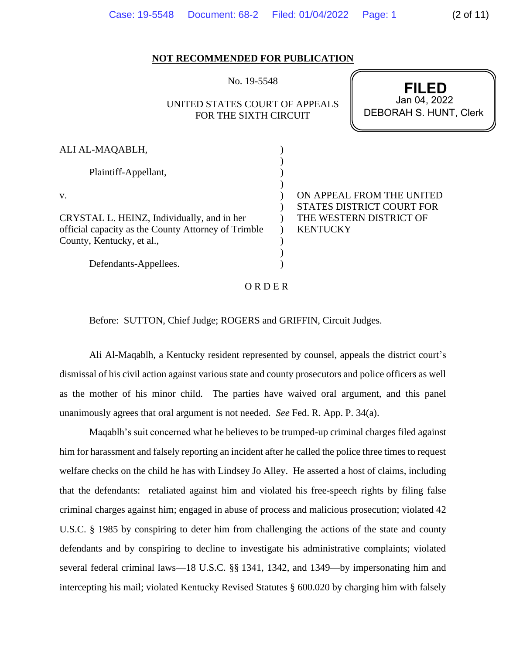| NOT RECOMMENDED FOR PUBLICATION                     |                                                                        |                 |                                                               |
|-----------------------------------------------------|------------------------------------------------------------------------|-----------------|---------------------------------------------------------------|
|                                                     | No. 19-5548<br>UNITED STATES COURT OF APPEALS<br>FOR THE SIXTH CIRCUIT |                 | <b>FILED</b><br>Jan 04, 2022<br><b>DEBORAH S. HUNT, Clerk</b> |
|                                                     |                                                                        |                 |                                                               |
|                                                     |                                                                        |                 |                                                               |
| ALI AL-MAQABLH,                                     |                                                                        |                 |                                                               |
| Plaintiff-Appellant,                                |                                                                        |                 |                                                               |
| V.                                                  |                                                                        |                 | ON APPEAL FROM THE UNITED                                     |
|                                                     |                                                                        |                 | <b>STATES DISTRICT COURT FOR</b>                              |
| CRYSTAL L. HEINZ, Individually, and in her          |                                                                        |                 | THE WESTERN DISTRICT OF                                       |
| official capacity as the County Attorney of Trimble |                                                                        | <b>KENTUCKY</b> |                                                               |
| County, Kentucky, et al.,                           |                                                                        |                 |                                                               |
| Defendants-Appellees.                               |                                                                        |                 |                                                               |

Case: 19-5548 Document: 68-2 Filed: 01/04/2022 Page: 1 (2 of 11)

 $O$  R  $D$  E R

Before: SUTTON, Chief Judge; ROGERS and GRIFFIN, Circuit Judges.

Ali Al-Maqablh, a Kentucky resident represented by counsel, appeals the district court's dismissal of his civil action against various state and county prosecutors and police officers as well as the mother of his minor child. The parties have waived oral argument, and this panel unanimously agrees that oral argument is not needed. *See* Fed. R. App. P. 34(a).

Maqablh's suit concerned what he believes to be trumped-up criminal charges filed against him for harassment and falsely reporting an incident after he called the police three times to request welfare checks on the child he has with Lindsey Jo Alley. He asserted a host of claims, including that the defendants: retaliated against him and violated his free-speech rights by filing false criminal charges against him; engaged in abuse of process and malicious prosecution; violated 42 U.S.C. § 1985 by conspiring to deter him from challenging the actions of the state and county defendants and by conspiring to decline to investigate his administrative complaints; violated several federal criminal laws—18 U.S.C. §§ 1341, 1342, and 1349—by impersonating him and intercepting his mail; violated Kentucky Revised Statutes § 600.020 by charging him with falsely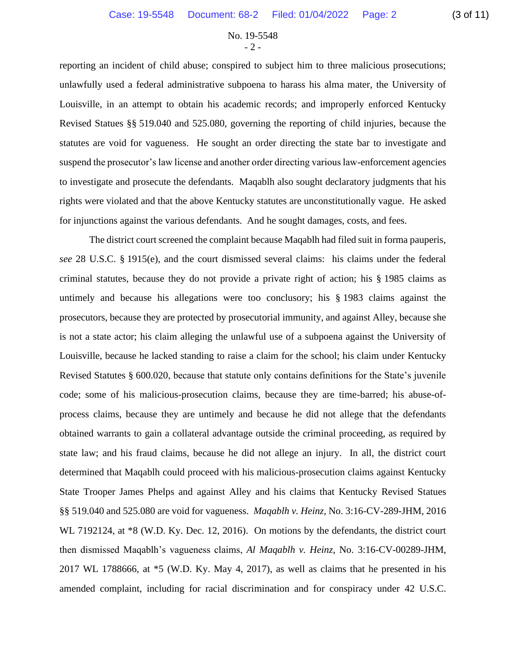# No. 19-5548  $-2$  -

reporting an incident of child abuse; conspired to subject him to three malicious prosecutions; unlawfully used a federal administrative subpoena to harass his alma mater, the University of Louisville, in an attempt to obtain his academic records; and improperly enforced Kentucky Revised Statues §§ 519.040 and 525.080, governing the reporting of child injuries, because the statutes are void for vagueness. He sought an order directing the state bar to investigate and suspend the prosecutor's law license and another order directing various law-enforcement agencies to investigate and prosecute the defendants. Maqablh also sought declaratory judgments that his rights were violated and that the above Kentucky statutes are unconstitutionally vague. He asked for injunctions against the various defendants. And he sought damages, costs, and fees.

The district court screened the complaint because Maqablh had filed suit in forma pauperis, *see* 28 U.S.C. § 1915(e), and the court dismissed several claims: his claims under the federal criminal statutes, because they do not provide a private right of action; his § 1985 claims as untimely and because his allegations were too conclusory; his § 1983 claims against the prosecutors, because they are protected by prosecutorial immunity, and against Alley, because she is not a state actor; his claim alleging the unlawful use of a subpoena against the University of Louisville, because he lacked standing to raise a claim for the school; his claim under Kentucky Revised Statutes § 600.020, because that statute only contains definitions for the State's juvenile code; some of his malicious-prosecution claims, because they are time-barred; his abuse-ofprocess claims, because they are untimely and because he did not allege that the defendants obtained warrants to gain a collateral advantage outside the criminal proceeding, as required by state law; and his fraud claims, because he did not allege an injury. In all, the district court determined that Maqablh could proceed with his malicious-prosecution claims against Kentucky State Trooper James Phelps and against Alley and his claims that Kentucky Revised Statues §§ 519.040 and 525.080 are void for vagueness. *Maqablh v. Heinz*, No. 3:16-CV-289-JHM, 2016 WL 7192124, at  $*8$  (W.D. Ky. Dec. 12, 2016). On motions by the defendants, the district court then dismissed Maqablh's vagueness claims, *Al Maqablh v. Heinz*, No. 3:16-CV-00289-JHM, 2017 WL 1788666, at \*5 (W.D. Ky. May 4, 2017), as well as claims that he presented in his amended complaint, including for racial discrimination and for conspiracy under 42 U.S.C.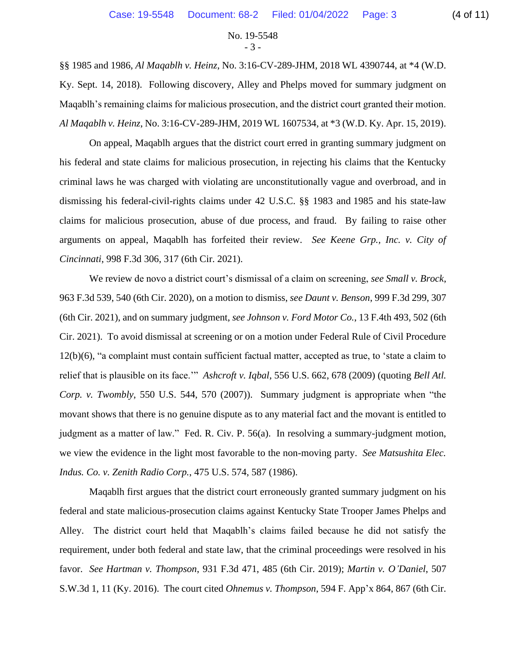## No. 19-5548 - 3 -

§§ 1985 and 1986, *Al Maqablh v. Heinz*, No. 3:16-CV-289-JHM, 2018 WL 4390744, at \*4 (W.D. Ky. Sept. 14, 2018). Following discovery, Alley and Phelps moved for summary judgment on Maqablh's remaining claims for malicious prosecution, and the district court granted their motion. *Al Maqablh v. Heinz*, No. 3:16-CV-289-JHM, 2019 WL 1607534, at \*3 (W.D. Ky. Apr. 15, 2019).

On appeal, Maqablh argues that the district court erred in granting summary judgment on his federal and state claims for malicious prosecution, in rejecting his claims that the Kentucky criminal laws he was charged with violating are unconstitutionally vague and overbroad, and in dismissing his federal-civil-rights claims under 42 U.S.C. §§ 1983 and 1985 and his state-law claims for malicious prosecution, abuse of due process, and fraud. By failing to raise other arguments on appeal, Maqablh has forfeited their review. *See Keene Grp., Inc. v. City of Cincinnati*, 998 F.3d 306, 317 (6th Cir. 2021).

We review de novo a district court's dismissal of a claim on screening, *see Small v. Brock*, 963 F.3d 539, 540 (6th Cir. 2020), on a motion to dismiss, *see Daunt v. Benson*, 999 F.3d 299, 307 (6th Cir. 2021), and on summary judgment, *see Johnson v. Ford Motor Co.*, 13 F.4th 493, 502 (6th Cir. 2021). To avoid dismissal at screening or on a motion under Federal Rule of Civil Procedure 12(b)(6), "a complaint must contain sufficient factual matter, accepted as true, to 'state a claim to relief that is plausible on its face.'" *Ashcroft v. Iqbal*, 556 U.S. 662, 678 (2009) (quoting *Bell Atl. Corp. v. Twombly*, 550 U.S. 544, 570 (2007)). Summary judgment is appropriate when "the movant shows that there is no genuine dispute as to any material fact and the movant is entitled to judgment as a matter of law." Fed. R. Civ. P. 56(a). In resolving a summary-judgment motion, we view the evidence in the light most favorable to the non-moving party. *See Matsushita Elec. Indus. Co. v. Zenith Radio Corp.*, 475 U.S. 574, 587 (1986).

Maqablh first argues that the district court erroneously granted summary judgment on his federal and state malicious-prosecution claims against Kentucky State Trooper James Phelps and Alley. The district court held that Maqablh's claims failed because he did not satisfy the requirement, under both federal and state law, that the criminal proceedings were resolved in his favor. *See Hartman v. Thompson*, 931 F.3d 471, 485 (6th Cir. 2019); *Martin v. O'Daniel*, 507 S.W.3d 1, 11 (Ky. 2016). The court cited *Ohnemus v. Thompson*, 594 F. App'x 864, 867 (6th Cir.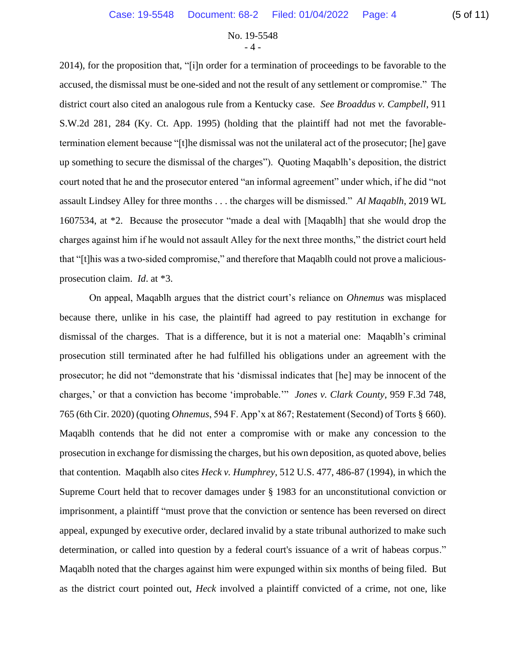# No. 19-5548 - 4 -

2014), for the proposition that, "[i]n order for a termination of proceedings to be favorable to the accused, the dismissal must be one-sided and not the result of any settlement or compromise." The district court also cited an analogous rule from a Kentucky case. *See Broaddus v. Campbell*, 911 S.W.2d 281, 284 (Ky. Ct. App. 1995) (holding that the plaintiff had not met the favorabletermination element because "[t]he dismissal was not the unilateral act of the prosecutor; [he] gave up something to secure the dismissal of the charges"). Quoting Maqablh's deposition, the district court noted that he and the prosecutor entered "an informal agreement" under which, if he did "not assault Lindsey Alley for three months . . . the charges will be dismissed." *Al Maqablh*, 2019 WL 1607534, at \*2. Because the prosecutor "made a deal with [Maqablh] that she would drop the charges against him if he would not assault Alley for the next three months," the district court held that "[t]his was a two-sided compromise," and therefore that Maqablh could not prove a maliciousprosecution claim. *Id*. at \*3.

On appeal, Maqablh argues that the district court's reliance on *Ohnemus* was misplaced because there, unlike in his case, the plaintiff had agreed to pay restitution in exchange for dismissal of the charges. That is a difference, but it is not a material one: Maqablh's criminal prosecution still terminated after he had fulfilled his obligations under an agreement with the prosecutor; he did not "demonstrate that his 'dismissal indicates that [he] may be innocent of the charges,' or that a conviction has become 'improbable.'" *Jones v. Clark County*, 959 F.3d 748, 765 (6th Cir. 2020) (quoting *Ohnemus*, 594 F. App'x at 867; Restatement (Second) of Torts § 660). Maqablh contends that he did not enter a compromise with or make any concession to the prosecution in exchange for dismissing the charges, but his own deposition, as quoted above, belies that contention. Maqablh also cites *Heck v. Humphrey*, 512 U.S. 477, 486-87 (1994), in which the Supreme Court held that to recover damages under § 1983 for an unconstitutional conviction or imprisonment, a plaintiff "must prove that the conviction or sentence has been reversed on direct appeal, expunged by executive order, declared invalid by a state tribunal authorized to make such determination, or called into question by a federal court's issuance of a writ of habeas corpus." Maqablh noted that the charges against him were expunged within six months of being filed. But as the district court pointed out, *Heck* involved a plaintiff convicted of a crime, not one, like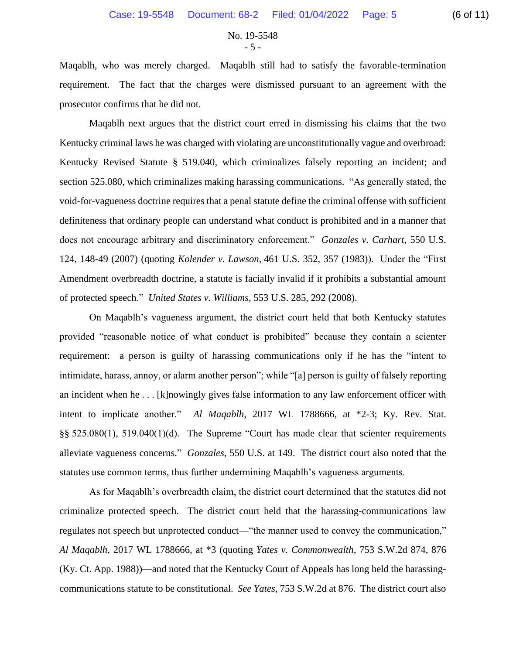No. 19-5548  $-5 -$ 

Maqablh, who was merely charged. Maqablh still had to satisfy the favorable-termination requirement. The fact that the charges were dismissed pursuant to an agreement with the prosecutor confirms that he did not.

Maqablh next argues that the district court erred in dismissing his claims that the two Kentucky criminal laws he was charged with violating are unconstitutionally vague and overbroad: Kentucky Revised Statute § 519.040, which criminalizes falsely reporting an incident; and section 525.080, which criminalizes making harassing communications. "As generally stated, the void-for-vagueness doctrine requires that a penal statute define the criminal offense with sufficient definiteness that ordinary people can understand what conduct is prohibited and in a manner that does not encourage arbitrary and discriminatory enforcement." *Gonzales v. Carhart*, 550 U.S. 124, 148-49 (2007) (quoting *Kolender v. Lawson*, 461 U.S. 352, 357 (1983)). Under the "First Amendment overbreadth doctrine, a statute is facially invalid if it prohibits a substantial amount of protected speech." *United States v. Williams*, 553 U.S. 285, 292 (2008).

On Maqablh's vagueness argument, the district court held that both Kentucky statutes provided "reasonable notice of what conduct is prohibited" because they contain a scienter requirement: a person is guilty of harassing communications only if he has the "intent to intimidate, harass, annoy, or alarm another person"; while "[a] person is guilty of falsely reporting an incident when he . . . [k]nowingly gives false information to any law enforcement officer with intent to implicate another." *Al Maqablh*, 2017 WL 1788666, at \*2-3; Ky. Rev. Stat. §§ 525.080(1), 519.040(1)(d). The Supreme "Court has made clear that scienter requirements alleviate vagueness concerns." *Gonzales*, 550 U.S. at 149. The district court also noted that the statutes use common terms, thus further undermining Maqablh's vagueness arguments.

As for Maqablh's overbreadth claim, the district court determined that the statutes did not criminalize protected speech. The district court held that the harassing-communications law regulates not speech but unprotected conduct—"the manner used to convey the communication," *Al Maqablh*, 2017 WL 1788666, at \*3 (quoting *Yates v. Commonwealth*, 753 S.W.2d 874, 876 (Ky. Ct. App. 1988))—and noted that the Kentucky Court of Appeals has long held the harassingcommunications statute to be constitutional. *See Yates*, 753 S.W.2d at 876. The district court also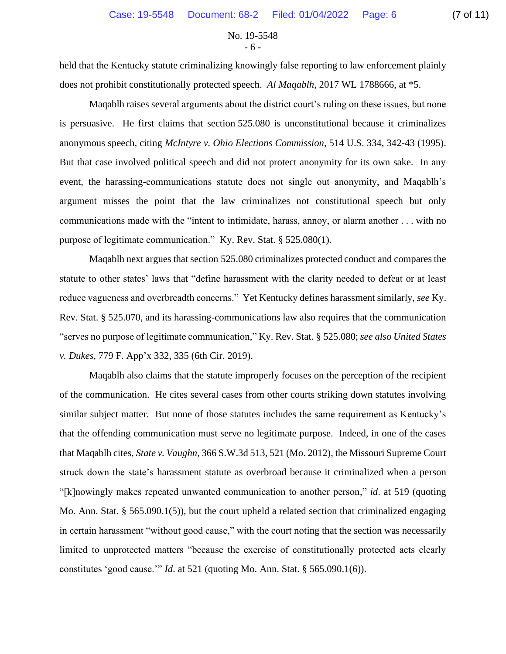No. 19-5548 - 6 -

held that the Kentucky statute criminalizing knowingly false reporting to law enforcement plainly does not prohibit constitutionally protected speech. *Al Maqablh*, 2017 WL 1788666, at \*5.

Maqablh raises several arguments about the district court's ruling on these issues, but none is persuasive. He first claims that section 525.080 is unconstitutional because it criminalizes anonymous speech, citing *McIntyre v. Ohio Elections Commission*, 514 U.S. 334, 342-43 (1995). But that case involved political speech and did not protect anonymity for its own sake. In any event, the harassing-communications statute does not single out anonymity, and Maqablh's argument misses the point that the law criminalizes not constitutional speech but only communications made with the "intent to intimidate, harass, annoy, or alarm another . . . with no purpose of legitimate communication." Ky. Rev. Stat. § 525.080(1).

Maqablh next argues that section 525.080 criminalizes protected conduct and compares the statute to other states' laws that "define harassment with the clarity needed to defeat or at least reduce vagueness and overbreadth concerns." Yet Kentucky defines harassment similarly, *see* Ky. Rev. Stat. § 525.070, and its harassing-communications law also requires that the communication "serves no purpose of legitimate communication," Ky. Rev. Stat. § 525.080; *see also United States v. Dukes*, 779 F. App'x 332, 335 (6th Cir. 2019).

Maqablh also claims that the statute improperly focuses on the perception of the recipient of the communication. He cites several cases from other courts striking down statutes involving similar subject matter. But none of those statutes includes the same requirement as Kentucky's that the offending communication must serve no legitimate purpose. Indeed, in one of the cases that Maqablh cites, *State v. Vaughn*, 366 S.W.3d 513, 521 (Mo. 2012), the Missouri Supreme Court struck down the state's harassment statute as overbroad because it criminalized when a person "[k]nowingly makes repeated unwanted communication to another person," *id*. at 519 (quoting Mo. Ann. Stat. § 565.090.1(5)), but the court upheld a related section that criminalized engaging in certain harassment "without good cause," with the court noting that the section was necessarily limited to unprotected matters "because the exercise of constitutionally protected acts clearly constitutes 'good cause.'" *Id*. at 521 (quoting Mo. Ann. Stat. § 565.090.1(6)).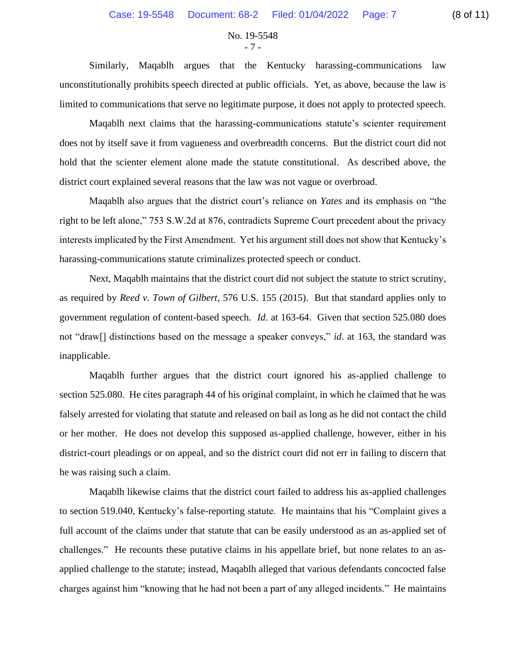#### No. 19-5548 - 7 -

Similarly, Maqablh argues that the Kentucky harassing-communications law unconstitutionally prohibits speech directed at public officials. Yet, as above, because the law is limited to communications that serve no legitimate purpose, it does not apply to protected speech.

Maqablh next claims that the harassing-communications statute's scienter requirement does not by itself save it from vagueness and overbreadth concerns. But the district court did not hold that the scienter element alone made the statute constitutional. As described above, the district court explained several reasons that the law was not vague or overbroad.

Maqablh also argues that the district court's reliance on *Yates* and its emphasis on "the right to be left alone," 753 S.W.2d at 876, contradicts Supreme Court precedent about the privacy interests implicated by the First Amendment. Yet his argument still does not show that Kentucky's harassing-communications statute criminalizes protected speech or conduct.

Next, Maqablh maintains that the district court did not subject the statute to strict scrutiny, as required by *Reed v. Town of Gilbert*, 576 U.S. 155 (2015). But that standard applies only to government regulation of content-based speech. *Id*. at 163-64. Given that section 525.080 does not "draw[] distinctions based on the message a speaker conveys," *id*. at 163, the standard was inapplicable.

Maqablh further argues that the district court ignored his as-applied challenge to section 525.080. He cites paragraph 44 of his original complaint, in which he claimed that he was falsely arrested for violating that statute and released on bail as long as he did not contact the child or her mother. He does not develop this supposed as-applied challenge, however, either in his district-court pleadings or on appeal, and so the district court did not err in failing to discern that he was raising such a claim.

Maqablh likewise claims that the district court failed to address his as-applied challenges to section 519.040, Kentucky's false-reporting statute. He maintains that his "Complaint gives a full account of the claims under that statute that can be easily understood as an as-applied set of challenges." He recounts these putative claims in his appellate brief, but none relates to an asapplied challenge to the statute; instead, Maqablh alleged that various defendants concocted false charges against him "knowing that he had not been a part of any alleged incidents." He maintains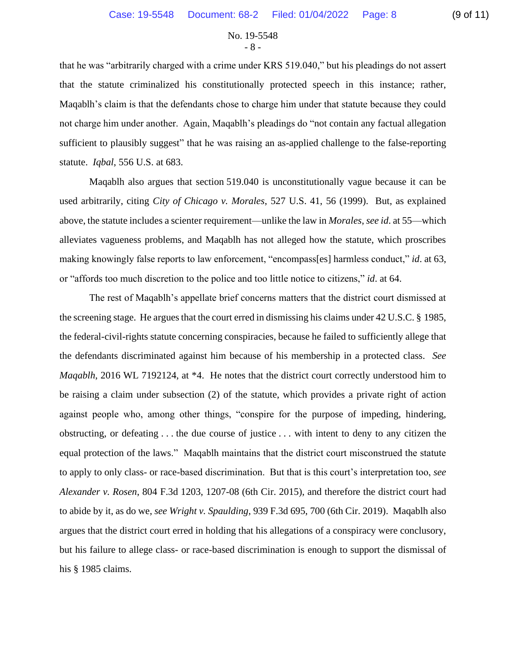## No. 19-5548 - 8 -

that he was "arbitrarily charged with a crime under KRS 519.040," but his pleadings do not assert that the statute criminalized his constitutionally protected speech in this instance; rather, Maqablh's claim is that the defendants chose to charge him under that statute because they could not charge him under another. Again, Maqablh's pleadings do "not contain any factual allegation sufficient to plausibly suggest" that he was raising an as-applied challenge to the false-reporting statute. *Iqbal*, 556 U.S. at 683.

Maqablh also argues that section 519.040 is unconstitutionally vague because it can be used arbitrarily, citing *City of Chicago v. Morales*, 527 U.S. 41, 56 (1999). But, as explained above, the statute includes a scienter requirement—unlike the law in *Morales*, *see id*. at 55—which alleviates vagueness problems, and Maqablh has not alleged how the statute, which proscribes making knowingly false reports to law enforcement, "encompass[es] harmless conduct," *id*. at 63, or "affords too much discretion to the police and too little notice to citizens," *id*. at 64.

The rest of Maqablh's appellate brief concerns matters that the district court dismissed at the screening stage. He argues that the court erred in dismissing his claims under 42 U.S.C. § 1985, the federal-civil-rights statute concerning conspiracies, because he failed to sufficiently allege that the defendants discriminated against him because of his membership in a protected class. *See Maqablh*, 2016 WL 7192124, at \*4. He notes that the district court correctly understood him to be raising a claim under subsection (2) of the statute, which provides a private right of action against people who, among other things, "conspire for the purpose of impeding, hindering, obstructing, or defeating . . . the due course of justice . . . with intent to deny to any citizen the equal protection of the laws." Maqablh maintains that the district court misconstrued the statute to apply to only class- or race-based discrimination. But that is this court's interpretation too, *see Alexander v. Rosen*, 804 F.3d 1203, 1207-08 (6th Cir. 2015), and therefore the district court had to abide by it, as do we, *see Wright v. Spaulding*, 939 F.3d 695, 700 (6th Cir. 2019). Maqablh also argues that the district court erred in holding that his allegations of a conspiracy were conclusory, but his failure to allege class- or race-based discrimination is enough to support the dismissal of his § 1985 claims.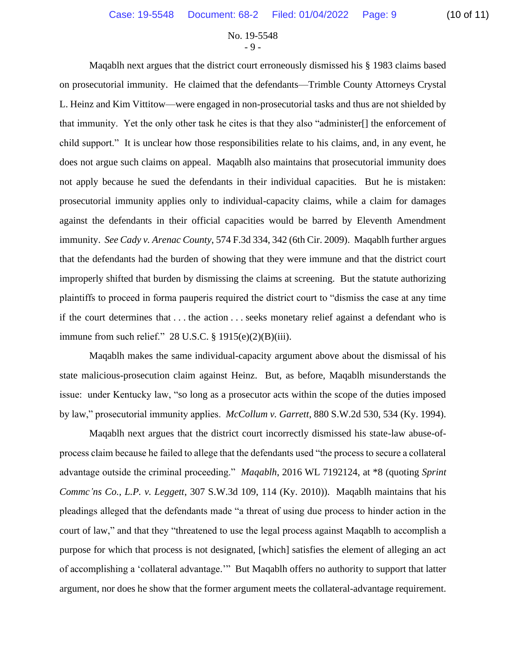## No. 19-5548  $-9 -$

Maqablh next argues that the district court erroneously dismissed his § 1983 claims based on prosecutorial immunity. He claimed that the defendants—Trimble County Attorneys Crystal L. Heinz and Kim Vittitow—were engaged in non-prosecutorial tasks and thus are not shielded by that immunity. Yet the only other task he cites is that they also "administer[] the enforcement of child support." It is unclear how those responsibilities relate to his claims, and, in any event, he does not argue such claims on appeal. Maqablh also maintains that prosecutorial immunity does not apply because he sued the defendants in their individual capacities. But he is mistaken: prosecutorial immunity applies only to individual-capacity claims, while a claim for damages against the defendants in their official capacities would be barred by Eleventh Amendment immunity. *See Cady v. Arenac County*, 574 F.3d 334, 342 (6th Cir. 2009). Maqablh further argues that the defendants had the burden of showing that they were immune and that the district court improperly shifted that burden by dismissing the claims at screening. But the statute authorizing plaintiffs to proceed in forma pauperis required the district court to "dismiss the case at any time if the court determines that . . . the action . . . seeks monetary relief against a defendant who is immune from such relief." 28 U.S.C. § 1915(e)(2)(B)(iii).

Maqablh makes the same individual-capacity argument above about the dismissal of his state malicious-prosecution claim against Heinz. But, as before, Maqablh misunderstands the issue: under Kentucky law, "so long as a prosecutor acts within the scope of the duties imposed by law," prosecutorial immunity applies. *McCollum v. Garrett*, 880 S.W.2d 530, 534 (Ky. 1994).

Maqablh next argues that the district court incorrectly dismissed his state-law abuse-ofprocess claim because he failed to allege that the defendants used "the process to secure a collateral advantage outside the criminal proceeding." *Maqablh*, 2016 WL 7192124, at \*8 (quoting *Sprint Commc'ns Co., L.P. v. Leggett*, 307 S.W.3d 109, 114 (Ky. 2010)). Maqablh maintains that his pleadings alleged that the defendants made "a threat of using due process to hinder action in the court of law," and that they "threatened to use the legal process against Maqablh to accomplish a purpose for which that process is not designated, [which] satisfies the element of alleging an act of accomplishing a 'collateral advantage.'" But Maqablh offers no authority to support that latter argument, nor does he show that the former argument meets the collateral-advantage requirement.